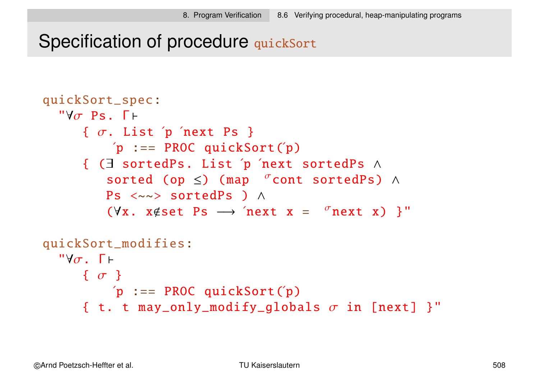### Specification of procedure quickSort

```
quickSort_spec:
  "Y\sigma Ps. \Gamma \vdash\{ \sigma. List 'p 'next Ps \}'p := PROC quickSort('p){ (∃ sortedPs. List ´p ´next sortedPs ∧
           sorted (op \leq) (map \sigma cont sortedPs) ∧
          Ps <~~> sortedPs ) ∧
           (\forall x. x \notin set \; Ps \rightarrow 'next \; x = 'next \; x) }"
quickSort_modifies:
  "Y\sigma. \Gamma \vdash{ σ }
```

$$
\begin{array}{rcl}\n\text{'}p & := & \text{PROC quickSort}(\text{'p}) \\
\text{'}t. t. may\_only\_modify\_globals \ \sigma \text{ in [next]} \end{array}
$$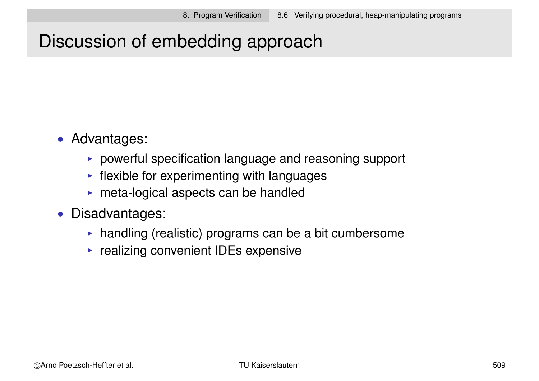# Discussion of embedding approach

- Advantages:
	- $\triangleright$  powerful specification language and reasoning support
	- $\blacktriangleright$  flexible for experimenting with languages
	- $\triangleright$  meta-logical aspects can be handled
- Disadvantages:
	- $\triangleright$  handling (realistic) programs can be a bit cumbersome
	- $\triangleright$  realizing convenient IDEs expensive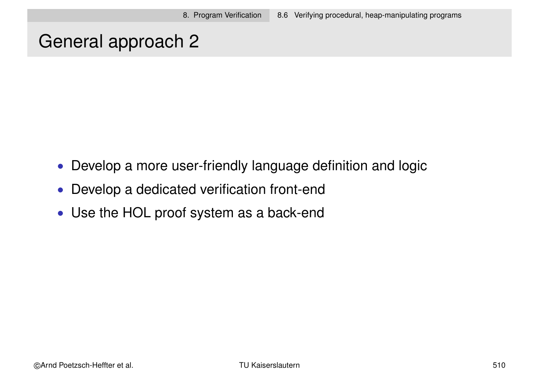### General approach 2

- Develop a more user-friendly language definition and logic
- Develop a dedicated verification front-end
- Use the HOL proof system as a back-end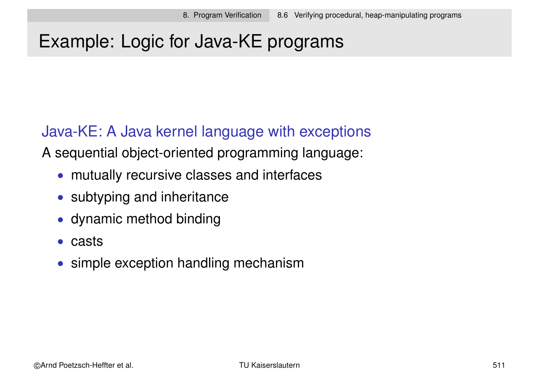# Example: Logic for Java-KE programs

#### Java-KE: A Java kernel language with exceptions

A sequential object-oriented programming language:

- mutually recursive classes and interfaces
- subtyping and inheritance
- dynamic method binding
- casts
- simple exception handling mechanism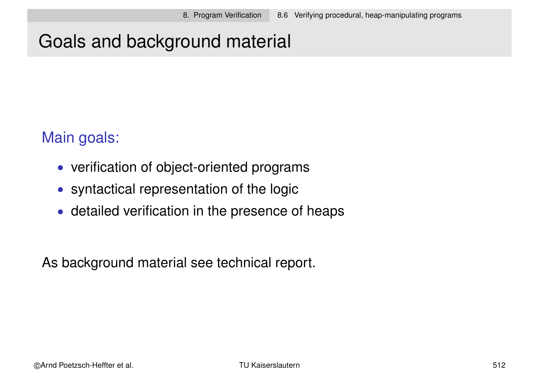# Goals and background material

#### Main goals:

- verification of object-oriented programs
- syntactical representation of the logic
- detailed verification in the presence of heaps

As background material see technical report.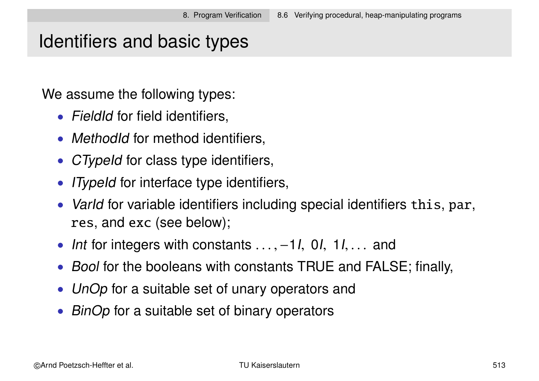### Identifiers and basic types

We assume the following types:

- FieldId for field identifiers,
- MethodId for method identifiers,
- CTypeId for class type identifiers,
- *ITypeId* for interface type identifiers,
- Varld for variable identifiers including special identifiers this, par, res, and exc (see below);
- Int for integers with constants . . ., –1I, 0I, 1I, . . . and
- Bool for the booleans with constants TRUE and FALSE; finally,
- UnOp for a suitable set of unary operators and
- BinOp for a suitable set of binary operators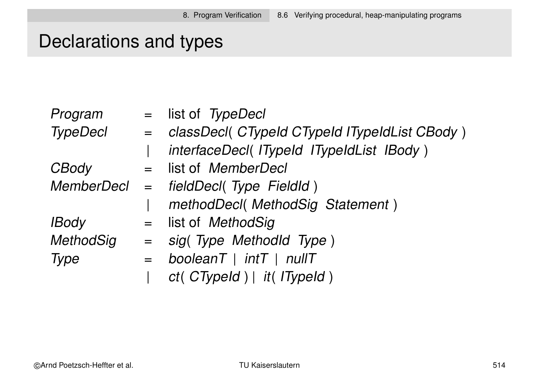# Declarations and types

| Program          |         | $=$ list of TypeDecl                            |
|------------------|---------|-------------------------------------------------|
| <b>TypeDecl</b>  |         | = classDecl( CTypeId CTypeId ITypeIdList CBody) |
|                  |         | interfaceDecl(ITypeId ITypeIdList IBody)        |
| CBody            |         | = list of MemberDecl                            |
|                  |         | MemberDecl = fieldDecl(Type FieldId)            |
|                  |         | methodDecl(MethodSig Statement)                 |
| <b>IBody</b>     |         | = list of MethodSig                             |
| <b>MethodSig</b> |         | $=$ sig(Type Methodld Type)                     |
| Type             | $=$ $-$ | boolean $T$   int $T$   nullT                   |
|                  |         | ct( CTypeId )   it( ITypeId )                   |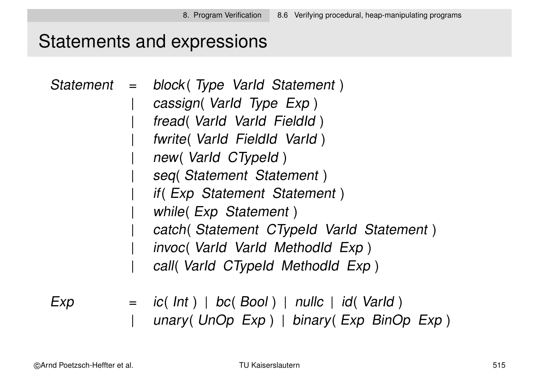### Statements and expressions

|  | Statement = block (Type Varld Statement)  |
|--|-------------------------------------------|
|  | cassign(Varld Type Exp)                   |
|  | fread (Varld Varld Fieldld)               |
|  | fwrite(Varld FieldId Varld)               |
|  | new(Varld CTypeld)                        |
|  | seq(Statement Statement)                  |
|  | if (Exp Statement Statement)              |
|  | while (Exp Statement)                     |
|  | catch (Statement CTypeld Varld Statement) |
|  | invoc( Varld Varld Methodld Exp)          |
|  | call( Varid CTypeld Methodid Exp)         |
|  |                                           |

 $Exp$  = ic( Int ) | bc( Bool ) | nullc | id( VarId )<br>| unary( UnOp Exp ) | binary( Exp BinO unary( UnOp Exp) | binary( Exp BinOp Exp)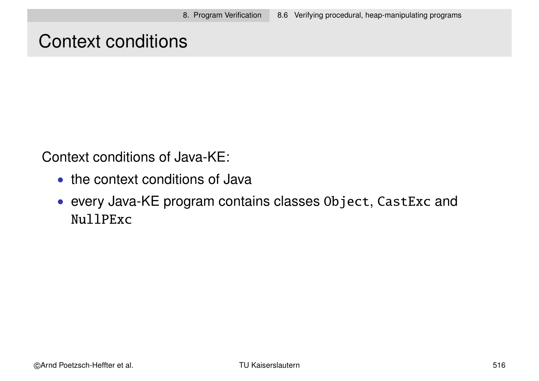### Context conditions

Context conditions of Java-KE:

- the context conditions of Java
- every Java-KE program contains classes Object, CastExc and NullPExc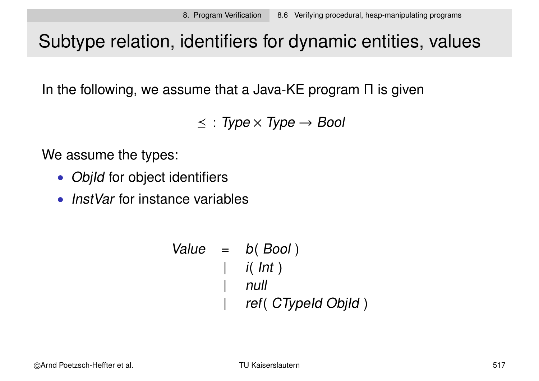## Subtype relation, identifiers for dynamic entities, values

In the following, we assume that a Java-KE program  $\Pi$  is given

 $\leq$  : Type  $\times$  Type  $\rightarrow$  Bool

We assume the types:

- ObjId for object identifiers
- InstVar for instance variables

```
Value = b( Bool )\int i( lnt )
        | null
           ref( CTypeId ObjId)
```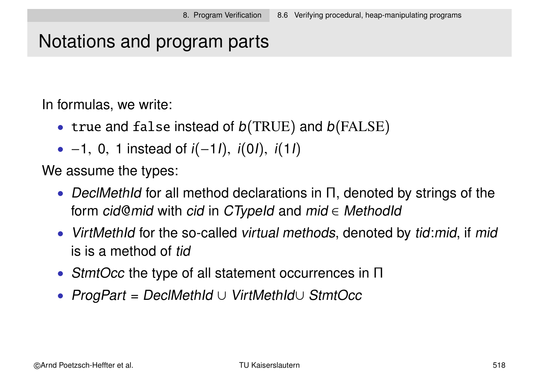## Notations and program parts

In formulas, we write:

- true and false instead of  $b(TRUE)$  and  $b(FALSE)$
- −1, 0, 1 instead of  $i(-11)$ ,  $i(01)$ ,  $i(11)$

We assume the types:

- DeclMethId for all method declarations in Π, denoted by strings of the form cid@mid with cid in CTypeId and mid  $\in$  MethodId
- VirtMethId for the so-called virtual methods, denoted by tid: mid, if mid is is a method of tid
- StmtOcc the type of all statement occurrences in Π
- ProgPart = DeclMethId ∪ VirtMethId∪ StmtOcc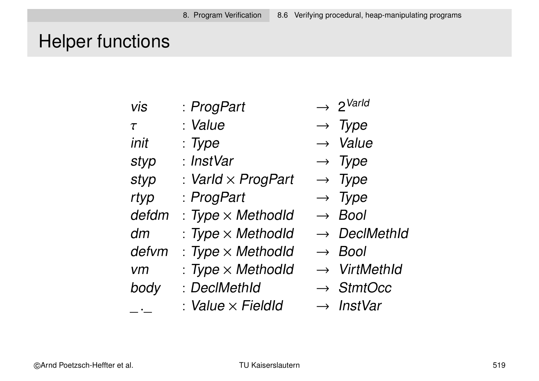# Helper functions

| <b>Vis</b>  | : ProgPart                | $\rightarrow 2^{\text{Varld}}$ |
|-------------|---------------------------|--------------------------------|
| $\tau$      | : Value                   | $\rightarrow$ Type             |
| init        | : Type                    | $\rightarrow$ Value            |
| styp        | : InstVar                 | $\rightarrow$ Type             |
| styp        | : Varld $\times$ ProgPart | $\rightarrow$ Type             |
| rtyp        | : ProgPart                | $\rightarrow$ Type             |
| defdm       | $: Type \times MethodId$  | $\rightarrow$ Bool             |
| dm          | $: Type \times MethodId$  | $\rightarrow$ DeclMethId       |
| defym       | $: Type \times Method$    | $\rightarrow$ Bool             |
| <b>vm</b>   | $: Type \times MethodId$  | $\rightarrow$ VirtMethId       |
| body        | : DeclMethId              | $\rightarrow$ StmtOcc          |
| $\bullet$ . | : Value $\times$ Fieldld  | $\rightarrow$ InstVar          |
|             |                           |                                |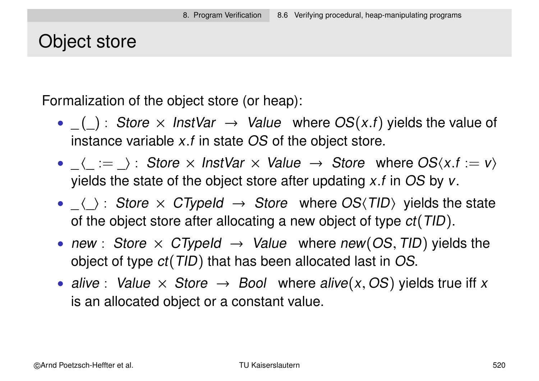#### Object store

Formalization of the object store (or heap):

- $(\_)$ : Store  $\times$  InstVar  $\rightarrow$  Value where  $OS(x.f)$  yields the value of instance variable x.f in state OS of the object store.
- $\langle : = \rangle$ : Store  $\times$  InstVar  $\times$  Value  $\rightarrow$  Store where  $OS(x.f := v)$ yields the state of the object store after updating  $x.f$  in OS by  $v.$
- $\langle \rangle$ : Store  $\times$  CTypeId  $\rightarrow$  Store where OS $\langle TID \rangle$  yields the state of the object store after allocating a new object of type  $ct(TID)$ .
- new : Store  $\times$  CTypeId  $\rightarrow$  Value where new(OS, TID) yields the object of type ct(TID) that has been allocated last in OS.
- alive : Value  $\times$  Store  $\rightarrow$  Bool where alive(x, OS) yields true iff x is an allocated object or a constant value.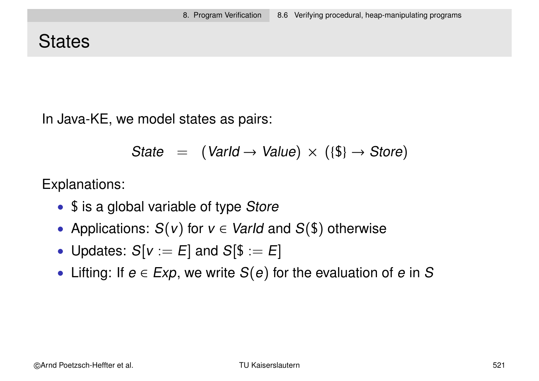## **States**

In Java-KE, we model states as pairs:

State = 
$$
(\text{Variable}) \times (\{\$\} \rightarrow \text{Store})
$$

Explanations:

- $\frac{1}{2}$  is a global variable of type Store
- Applications:  $S(v)$  for  $v \in \text{VarId}$  and  $S(\text{\$})$  otherwise
- Updates:  $S[v := E]$  and  $S[\$ := E]$
- Lifting: If  $e \in Exp$ , we write  $S(e)$  for the evaluation of e in S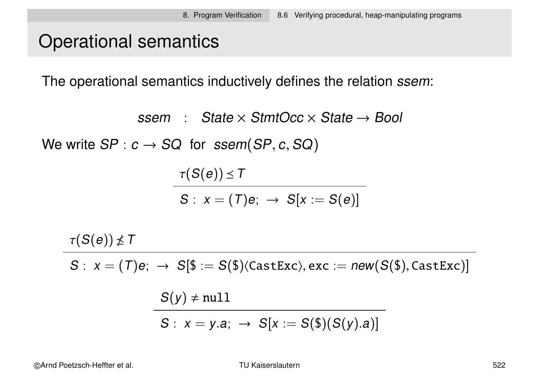## Operational semantics

The operational semantics inductively defines the relation ssem:

ssem : State  $\times$  StmtOcc  $\times$  State  $\rightarrow$  Bool

We write  $SP: c \rightarrow SQ$  for  $ssem(SP, c, SQ)$ 

$$
\frac{\tau(S(e)) \leq T}{S: x = (T)e; \rightarrow S[x := S(e)]}
$$

 $\tau(S(e)) \nleq T$ 

 $S: x = (T)e; \rightarrow S[\$ := S(\$)\langle CastExc\rangle, exc := new(S(\$), CastExc)]$ 

$$
S(y) \neq null
$$
  

$$
S: x = y.a; \rightarrow S[x := S(\$)(S(y).a)]
$$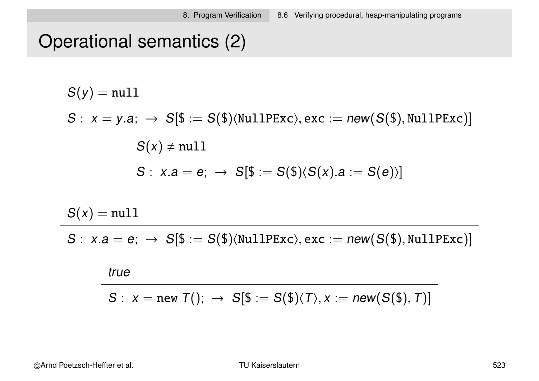# Operational semantics (2)

 $S(y) = null$ 

 $S: x = y.a; \rightarrow S[\$ := S(\$)\langle \text{NullPExc}\rangle, \text{exc} := new(S(\$), \text{NullPExc})]$ 

 $S(x) \neq null$  $S: x.a = e; \rightarrow S[\$ := S(\$)(S(x).a := S(e))]$ 

 $S(x) = null$ 

 $S: x.a = e; \rightarrow S[\$ := S(\$)\langle \text{NullPExc}\rangle, \text{exc} := new(S(\$), \text{NullPExc})]$ 

#### true

$$
S: x = new T(); \rightarrow S[\$ := S(\$)\langle T\rangle, x := new(S(\$), T)]
$$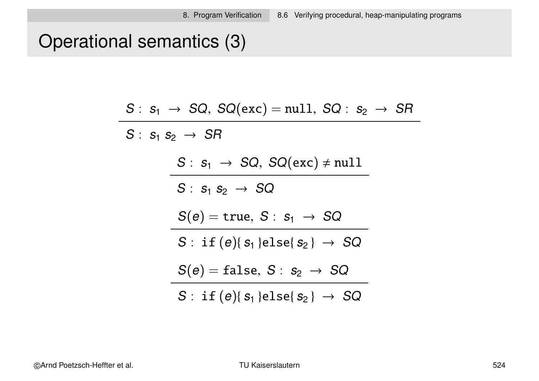# Operational semantics (3)

|                             | $S: s_1 \rightarrow SQ$ , $SQ(exc) = null$ , $SQ: s_2 \rightarrow SR$    |  |
|-----------------------------|--------------------------------------------------------------------------|--|
| $S: s_1 s_2 \rightarrow SR$ |                                                                          |  |
|                             | $S: s_1 \rightarrow SQ$ , $SQ(exc) \neq null$                            |  |
|                             | $S: s_1 s_2 \rightarrow SQ$                                              |  |
|                             | $S(e) = \text{true}, S: s_1 \rightarrow SQ$                              |  |
|                             | $S: \text{ if } (e) \{s_1\} \text{ else } \{s_2\} \rightarrow \text{SQ}$ |  |
|                             | $S(e) = false, S: s_2 \rightarrow SQ$                                    |  |
|                             | $S: \text{ if } (e) \{s_1\} \text{else} \{s_2\} \rightarrow SQ$          |  |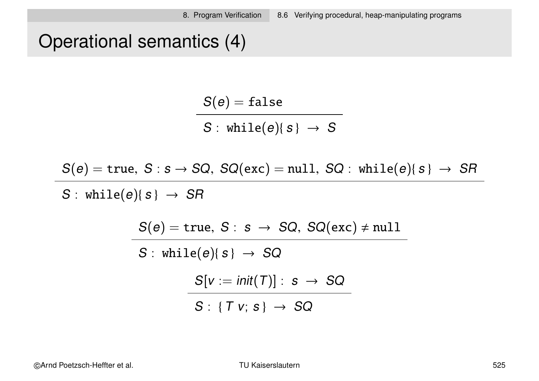# Operational semantics (4)

$$
\frac{S(e) = \text{false}}{S: \text{ while}(e) \{s\} \rightarrow S}
$$

$$
S(e) = \text{true}, S : s \rightarrow SQ, \; SQ(\text{exc}) = \text{null}, \; SQ : \; \text{while}(e) \{ s \} \; \rightarrow \; SR
$$

 $S: while(e){s} \rightarrow SR$ 

$$
S(e) = \text{true}, S: s \rightarrow SQ, SQ(\text{exc}) \neq \text{null}
$$
\n
$$
S: \text{while}(e)\{s\} \rightarrow SQ
$$
\n
$$
\frac{S[v := \text{init}(T)]: s \rightarrow SQ}{S: \{Tv; s\} \rightarrow SQ}
$$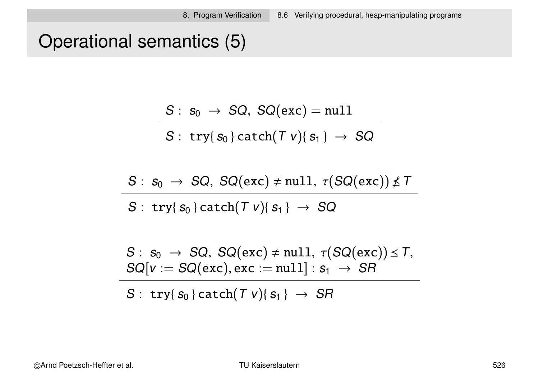# Operational semantics (5)

$$
S: s_0 \rightarrow SQ, SQ(exc) = null
$$

$$
S: \; try\{s_0\} \, catch(\, T \; v)\{ \, s_1 \: \} \ \rightarrow \ \, SQ
$$

$$
S: s_0 \rightarrow SQ, \, SQ(exc) \neq null, \, \tau(SQ(exc)) \nleq T
$$

$$
S: try{ s_0 } \} catch(T v){ s_1 } \rightarrow SQ
$$

$$
S: s_0 \rightarrow SQ, \, SQ(exc) \neq null, \, \tau(SQ(exc)) \leq T, \, \text{SQ}[v := SQ(exc), \text{exc} := null] : s_1 \rightarrow SR
$$

S : try{ $s_0$ } catch(T v){ $s_1$ }  $\rightarrow$  SR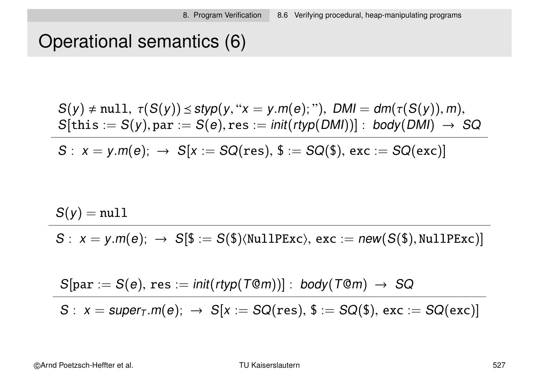## Operational semantics (6)

$$
S(y) \neq null, \ \tau(S(y)) \leq styp(y, "x = y.m(e);").\ \text{DMI} = dm(\tau(S(y)), m),\\ S[\text{this} := S(y), \text{par} := S(e), \text{res} := \text{init}(\text{rtyp}(\text{DMI}))]: \ \text{body}(\text{DMI}) \rightarrow \text{SQ}
$$

 $S: x = y.m(e); \rightarrow S[x := SQ(res), \$ := SQ(\$), exc := SQ(exc)]$ 

$$
S(y) = \texttt{null}
$$

 $S: x = y.m(e); \rightarrow S[\$ := S(\$)\langle \text{NullPExc}\rangle, \text{exc} := new(S(\$), \text{NullPExc})]$ 

$$
S[\text{par} := S(e), \text{res} := \text{init}(\text{rtyp}(T@m))] : \text{body}(T@m) \rightarrow SQ
$$
  

$$
S : x = \text{super}_T.m(e); \rightarrow S[x := SQ(\text{res}), \text{ $S := SQ$}(\text{$}), \text{ exc} := SQ(\text{exc})]
$$

©Arnd Poetzsch-Heffter et al. TU Kaiserslautern 527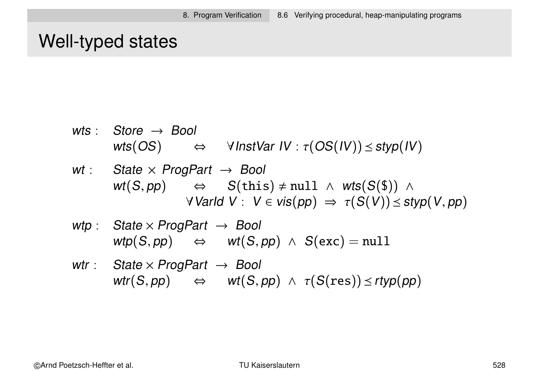### Well-typed states

$$
wts: \quad \text{Store} \rightarrow \text{Bool} \\ \text{wts}(\text{OS}) \quad \Leftrightarrow \quad \text{VInstVar IV}: \tau(\text{OS}(IV)) \leq \text{styp}(IV)
$$

$$
wt: State \times Program \rightarrow Bool
$$
  
\n
$$
wt(S, pp) \Leftrightarrow S(this) \neq null \land wt(S(\$)) \land
$$
  
\n
$$
\forall \text{Varld } V: V \in vis(pp) \Rightarrow \tau(S(V)) \leq styp(V, pp)
$$

$$
\begin{array}{lcl}\n\textit{wtp}: & \textit{State} \times \textit{Program} & \rightarrow \textit{Bool} \\
& \textit{wtp}(S, pp) & \Leftrightarrow & \textit{wt}(S, pp) \ \wedge \ \textit{S}(\textit{exc}) = \textit{null}\n\end{array}
$$

wtr : State  $\times$  ProgPart  $\rightarrow$  Bool  $\mathsf{wt}(S, pp) \quad \Leftrightarrow \quad \mathsf{wt}(S, pp) \ \land \ \tau(S(res)) \leq r\mathsf{typ}(pp)$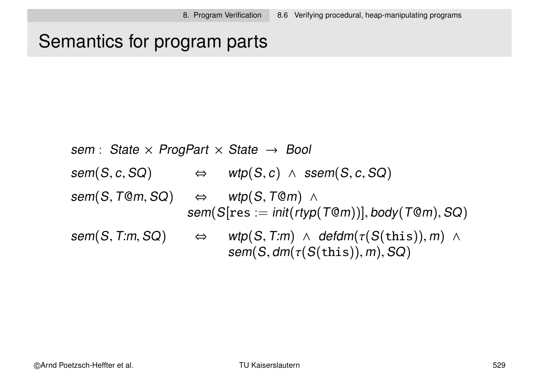## Semantics for program parts

sem : State  $\times$  ProgPart  $\times$  State  $\rightarrow$  Bool  $sem(S, c, SQ)$   $\Leftrightarrow$   $wtp(S, c) \wedge ssem(S, c, SQ)$  $sem(S, Tom, SQ)$   $\Leftrightarrow$  wtp(S, TOm) ∧  $sem(S[res := init(rtyp(T@m))], body(T@m), SQ)$  $sem(S, T:m, SQ)$   $\Leftrightarrow$   $wtp(S, T:m) \wedge defdm(\tau(S(this)), m) \wedge$  $sem(S, dm(\tau(S(this)), m), SQ)$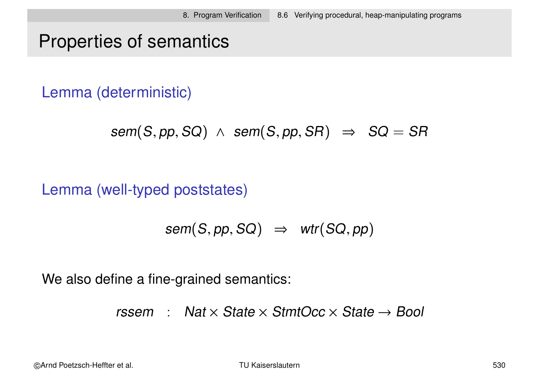## Properties of semantics

Lemma (deterministic)

```
sem(S, pp, SQ) \wedge sem(S, pp, SR) \Rightarrow SQ = SR
```
Lemma (well-typed poststates)

$$
sem(S, pp, SQ) \Rightarrow wrr(SQ, pp)
$$

We also define a fine-grained semantics:

rssem : Nat  $\times$  State  $\times$  StmtOcc  $\times$  State  $\rightarrow$  Bool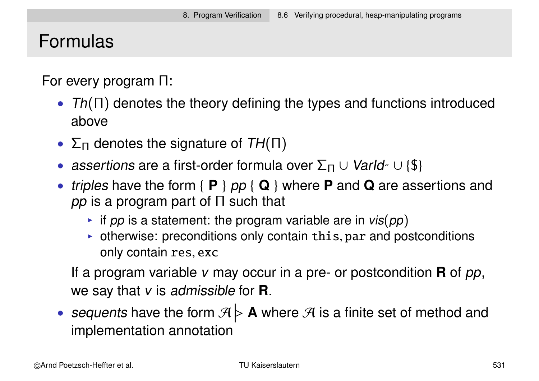#### Formulas

For every program Π:

- $Th(\Pi)$  denotes the theory defining the types and functions introduced above
- $\Sigma_{\Pi}$  denotes the signature of  $TH(\Pi)$
- assertions are a first-order formula over  $\Sigma_{\Pi} \cup \text{VarId}_{\Lambda} \cup \{\$\}$
- triples have the form { **P** } pp { **Q** } where **P** and **Q** are assertions and pp is a program part of  $\Pi$  such that
	- If pp is a statement: the program variable are in  $vis(pp)$
	- $\triangleright$  otherwise: preconditions only contain this, par and postconditions only contain res, exc

If a program variable v may occur in a pre- or postcondition **R** of pp, we say that v is admissible for **R**.

• sequents have the form  $\mathcal{A}$  $\overline{\mathsf{R}}$  $\triangleright$  **A** where  $\mathcal{A}$  is a finite set of method and implementation annotation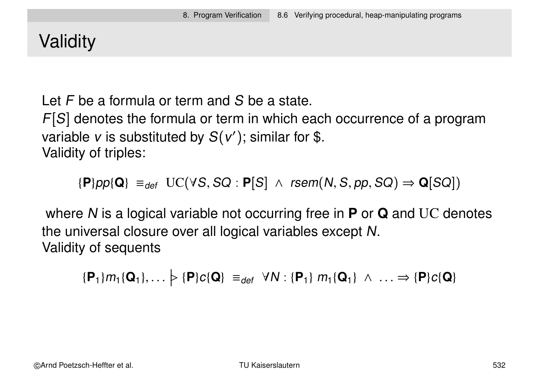# **Validity**

Let F be a formula or term and S be a state.

 $F[S]$  denotes the formula or term in which each occurrence of a program variable  $v$  is substituted by  $S(v')$ ; similar for \$. Validity of triples:

 ${P}pp{Q} \equiv_{def} UC(\forall S, SQ : P[S] \land rsem(N, S, pp, SQ) \Rightarrow Q[SQ])$ 

where N is a logical variable not occurring free in **P** or **Q** and UC denotes the universal closure over all logical variables except N. Validity of sequents

 $\{P_1\}m_1\{Q_1\}, \ldots$  $\triangleright$  {**P**} $c$ {**Q**} =  $_{def}$   $\forall N$  : {**P**<sub>1</sub>}  $m_1$ {**Q**<sub>1</sub>}  $\land \dots \Rightarrow$  {**P**} $c$ {**Q**}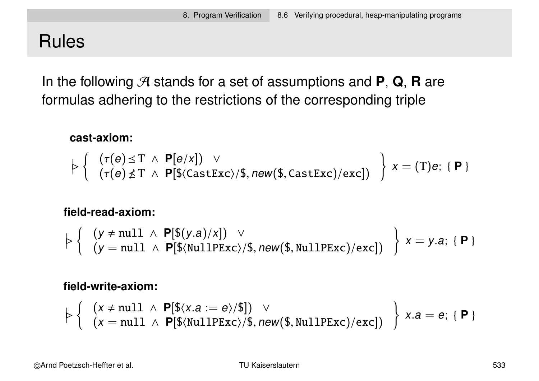### Rules

In the following  $\mathcal{A}$  stands for a set of assumptions and **P**, **Q**, **R** are formulas adhering to the restrictions of the corresponding triple

#### **cast-axiom:**

$$
\models \left\{ \begin{array}{l} (\tau(e) \preceq T \ \wedge \ \mathbf{P}[e/x]) \ \vee \\ (\tau(e) \nleq T \ \wedge \ \mathbf{P}[\$(\text{CastExc})/\$, new(\$(\text{fastExc})/\text{exc}]) \end{array} \right\} \ x = (T)e; \ \{\mathbf{P}\}
$$

#### **field-read-axiom:**

$$
\left. \left. \left. \left. \right| \begin{array}{l} \left( y \neq \text{null} \ \wedge \ \mathsf{P}[\$(y.a)/x] \right) \ \vee \\ \left( y = \text{null} \ \wedge \ \mathsf{P}[\$(\text{NullPExc})/\$, new(\$(\text{NullPExc})/\text{exc}]\right) \end{array} \right\} \right\} \ x = y.a; \ \{\mathsf{P}\}
$$

#### **field-write-axiom:**

$$
\models \left\{ \begin{array}{l} (x \neq null \ \land \ \mathsf{P}[\$(x.a := e)/\$]) \ \lor \\ (x = null \ \land \ \mathsf{P}[\$(\texttt{NullPExc})/\$, \ \texttt{new}(\$(\texttt{S},\texttt{NullPExc})/\texttt{exc}]) \end{array} \right\} \ x.a = e; \{\ \mathsf{P} \ \}
$$

©Arnd Poetzsch-Heffter et al. TU Kaiserslautern 533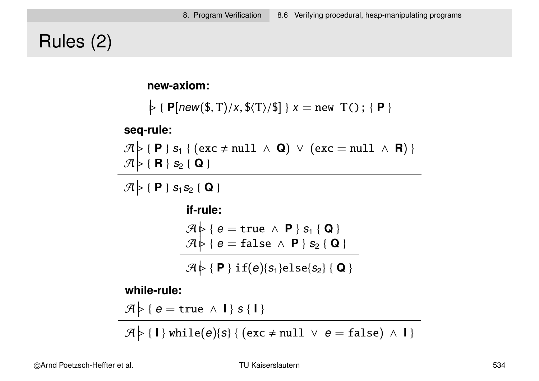# Rules (2)

**new-axiom:**

```
\varphi { P[new($, T)/x, $\langle T \rangle/$] } x = new T(); { P }
```
**seq-rule:**

 $\mathcal{A}$  $\triangleright$  { **P** } s<sub>1</sub> { (exc  $\neq$  null ∧ **Q**) ∨ (exc = null ∧ **R**) }  $\mathcal{A}$  $\triangleright$  { **R** } s<sub>2</sub> { **Q** }

 $\mathcal{A}$  $\triangleright$  { **P** }  $s_1 s_2$  { **Q** }

**if-rule:**

$$
\mathcal{A} \triangleright \{ e = true \land P \} s_1 \{ Q \} \mathcal{A} \triangleright \{ e = false \land P \} s_2 \{ Q \}
$$

 $\mathcal{A}$  $\triangleright$  { **P** } if(e){s<sub>1</sub>}else{s<sub>2</sub>} { **Q** }

**while-rule:**

$$
\mathcal{A} \triangleright \{\ e = \text{true} \ \wedge \ l\} \ s \ \{1\}
$$

 $\mathcal{A}$  $\left\{ \mid \mathbf{H} \right\}$  while(e){s} { (exc  $\neq$  null  $\vee$  e = false)  $\wedge$   $\mid$  }

©Arnd Poetzsch-Heffter et al. TU Kaiserslautern 534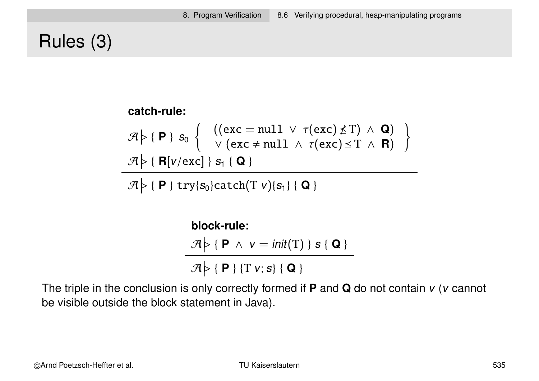## Rules (3)

**catch-rule:**

\n
$$
\mathcal{A} \models \{P\} \ s_{0} \left\{ \begin{array}{l} \left( (\text{exc} = \text{null} \ \lor \ \tau(\text{exc}) \nleq T) \ \land \ \mathbf{Q} \right) \\ \lor (\text{exc} \neq \text{null} \ \land \ \tau(\text{exc}) \leq T \ \land \ \mathbf{R}) \end{array} \right\}
$$
\n
$$
\mathcal{A} \models \{R[v/\text{exc}] \} \ s_{1} \{Q\}
$$

 $\mathcal{A}$  $\varphi$  { **P** } try{s<sub>0</sub>}catch(T *v*){s<sub>1</sub>} { **Q** }

> **block-rule:**  $\mathcal{A}$  $\triangleright$  { **P**  $\land$   $v = init(T)$  } s { **Q** }  $\mathcal{A}$  $\triangleright$  { **P** } {T v; s} { **Q** }

The triple in the conclusion is only correctly formed if **P** and **Q** do not contain v (v cannot be visible outside the block statement in Java).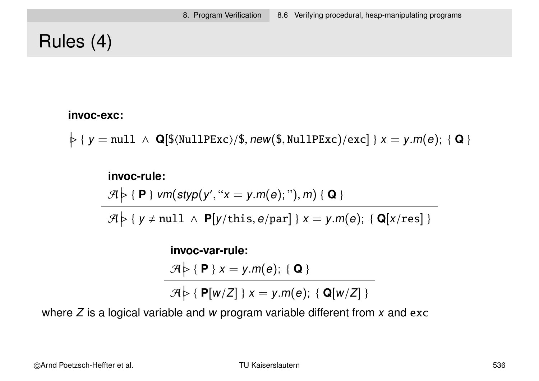# Rules (4)

#### **invoc-exc:**

 $\diamondsuit$  {  $y = null \land Q[$(NullPExc)/$, new($, NullPExc)/exc]$  }  $x = y.m(e);$  {  $Q$  }

#### **invoc-rule:**

 $\mathcal{A}$  $\varphi$  { **P** } vm(styp(y', " $x = y.m(e)$ ; "), m) { **Q** }

 $\mathcal{A}$  $\varphi$  {  $y \neq null \land P[y/\text{this}, e/\text{par}]$  }  $x = y.m(e)$ ; { Q[x/res] }

#### **invoc-var-rule:**  $\mathcal{A}$  $\triangleright$  { **P** }  $x = y.m(e);$  { **Q** }  $\mathcal{A}$  $\varphi$  { **P**[w/Z] }  $x = y.m(e);$  { **Q**[w/Z] }

where  $Z$  is a logical variable and w program variable different from  $x$  and exc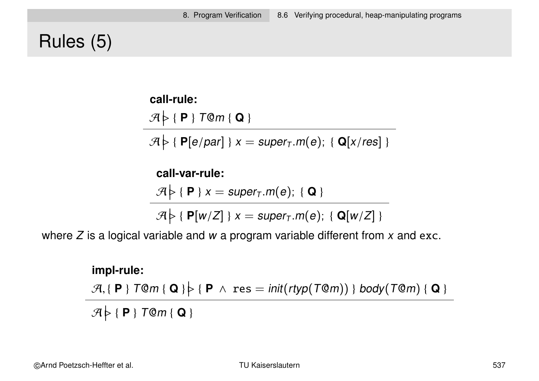### Rules (5)

**call-rule:**

 $\mathcal{A}$  <sup>B</sup> { **<sup>P</sup>** } <sup>T</sup>@<sup>m</sup> { **<sup>Q</sup>** }

 $\mathcal{A}$  $\triangleright$  { **P**[e/par] }  $x = super_T.m(e);$  { **Q**[x/res] }

**call-var-rule:**  $\mathcal{A}$  $\triangleright$  { **P** } x = super<sub>T</sub>.m(e); { **Q** }

 $\mathcal{A}$  $\varphi$  { **P**[w/Z] }  $x = super_T.m(e);$  { **Q**[w/Z] }

where  $Z$  is a logical variable and  $w$  a program variable different from  $x$  and exc.

**impl-rule:**  $\mathcal{A}, \{\ \mathsf{P}\ \}$  T@m { Q }  $\}$  {  $\mathsf{P}$   $\land$   $\text{res} = \text{init}(\text{rtyp}(\text{\small\textsf{T@}} m))$  } body(T@m) { Q }  $\mathcal{A}$  $\varphi$  { **P** } T@m { **Q** }

©Arnd Poetzsch-Heffter et al. TU Kaiserslautern 537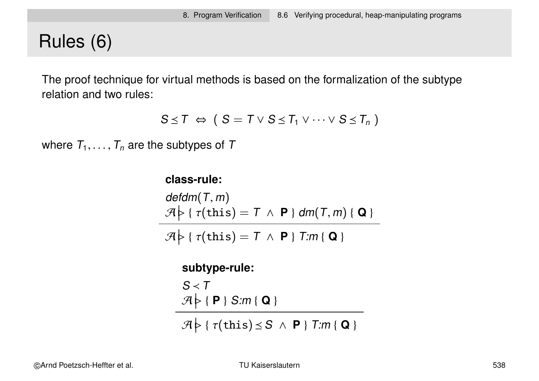## Rules (6)

The proof technique for virtual methods is based on the formalization of the subtype relation and two rules:

$$
S \leq T \Leftrightarrow (S = T \vee S \leq T_1 \vee \cdots \vee S \leq T_n)
$$

where  $\,_1,\ldots,T_n$  are the subtypes of  $\,$ 

#### **class-rule:**

$$
\mathsf{defdm}(T,m)
$$
\n
$$
\mathcal{A} \geq \{\tau(\mathsf{this}) = T \land \mathbf{P}\} \mathsf{dm}(T,m) \{ \mathbf{Q} \}
$$

 $\mathcal{A}$  $\varphi$  {  $\tau$ (this) = T  $\land$  **P** } T:m { **Q** }

#### **subtype-rule:**

 $S < T$  $\mathcal{A}$  $\triangleright$  { **P** } S:m { **Q** }

 $\mathcal{A}$  $\varphi$  {  $\tau$ (this)  $\leq$  S  $\land$  **P** } T:m { **Q** }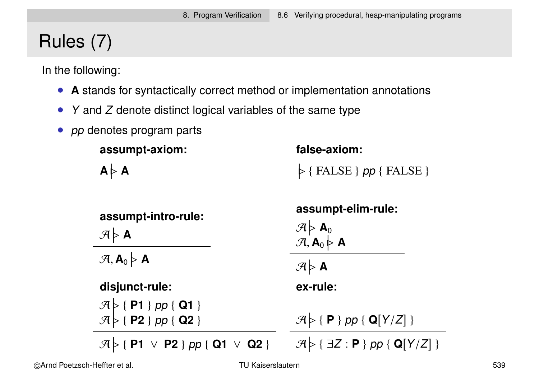# Rules (7)

In the following:

- **A** stands for syntactically correct method or implementation annotations
- $\bullet$  Y and Z denote distinct logical variables of the same type
- *pp* denotes program parts

| assumpt-axiom:                                                                                                 | false-axiom:                                                                                                                                                              |
|----------------------------------------------------------------------------------------------------------------|---------------------------------------------------------------------------------------------------------------------------------------------------------------------------|
| $A \nmid A$                                                                                                    | $\triangleright$ { FALSE } pp { FALSE }                                                                                                                                   |
| assumpt-intro-rule:<br>$\mathcal{A} \triangleright$ A<br>$\mathcal{A}, \mathbf{A}_0 \triangleright \mathbf{A}$ | assumpt-elim-rule:<br>$\begin{array}{c}\n\mathcal{A} \models \mathbf{A}_0 \\ \mathcal{A}, \mathbf{A}_0 \models \mathbf{A}\n\end{array}$<br>$\mathcal{A} \triangleright$ A |
| disjunct-rule:                                                                                                 | ex-rule:                                                                                                                                                                  |
| $\mathcal{A}$ $\triangleright$ { P1 } pp { Q1 }<br>$\mathcal{A}$ $\triangleright$ { P2 } pp { Q2 }             | $\mathcal{A} \triangleright \{\mathsf{P}\}\$ pp { Q[Y/Z] }                                                                                                                |
| $\mathcal{A} \models \{\mathsf{P1} \lor \mathsf{P2}\}$ pp { Q1 $\lor$ Q2 }                                     | $\mathcal{A} \triangleright \{\exists Z : \mathsf{P} \}$ pp { Q[Y/Z] }                                                                                                    |

©Arnd Poetzsch-Heffter et al. TU Kaiserslautern 539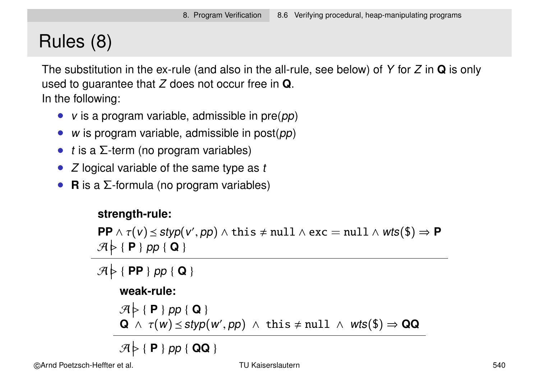# Rules (8)

The substitution in the ex-rule (and also in the all-rule, see below) of Y for Z in **Q** is only used to guarantee that Z does not occur free in **Q**. In the following:

- $v$  is a program variable, admissible in  $pre(pp)$
- w is program variable, admissible in  $post(pp)$
- t is a  $\Sigma$ -term (no program variables)
- $Z$  logical variable of the same type as  $t$
- **R** is a Σ-formula (no program variables)

#### **strength-rule:**

 $\textsf{PP} \wedge \tau(v) \preceq \textsf{styp}(v',\textsf{pp}) \wedge \textsf{this} \neq \textsf{null} \wedge \textsf{exc} = \textsf{null} \wedge \textsf{wts}(\textsf{\$}) \Rightarrow \textsf{PP}$  $\mathcal{A}$  <sup>B</sup> { **<sup>P</sup>** } pp { **<sup>Q</sup>** }

 $\mathcal{A}$  <sup>B</sup> { **PP** } pp { **<sup>Q</sup>** } **weak-rule:**  $\mathcal{A}$  <sup>B</sup> { **<sup>P</sup>** } pp { **<sup>Q</sup>** }  $\mathbf{Q} \wedge \tau(w) \leq \text{styp}(w', pp) \wedge \text{ this } \neq \text{null} \wedge \text{wts}(\$) \Rightarrow \mathbf{QQ}$ 

 $\mathcal{A}$  <sup>B</sup> { **<sup>P</sup>** } pp { **QQ** }

©Arnd Poetzsch-Heffter et al. TU Kaiserslautern 540